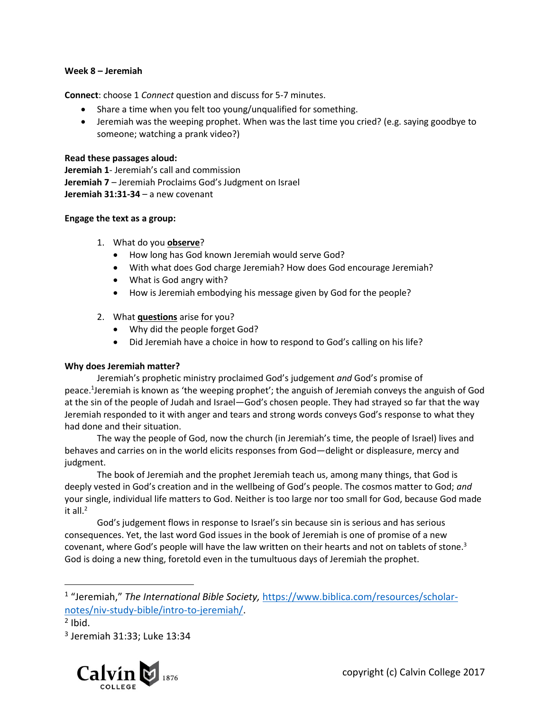## **Week 8 – Jeremiah**

**Connect**: choose 1 *Connect* question and discuss for 5-7 minutes.

- Share a time when you felt too young/unqualified for something.
- Jeremiah was the weeping prophet. When was the last time you cried? (e.g. saying goodbye to someone; watching a prank video?)

## **Read these passages aloud:**

**Jeremiah 1**- Jeremiah's call and commission **Jeremiah 7** – Jeremiah Proclaims God's Judgment on Israel **Jeremiah 31:31-34** – a new covenant

## **Engage the text as a group:**

- 1. What do you **observe**?
	- How long has God known Jeremiah would serve God?
	- With what does God charge Jeremiah? How does God encourage Jeremiah?
	- What is God angry with?
	- How is Jeremiah embodying his message given by God for the people?
- 2. What **questions** arise for you?
	- Why did the people forget God?
	- Did Jeremiah have a choice in how to respond to God's calling on his life?

# **Why does Jeremiah matter?**

Jeremiah's prophetic ministry proclaimed God's judgement *and* God's promise of peace.<sup>1</sup>Jeremiah is known as 'the weeping prophet'; the anguish of Jeremiah conveys the anguish of God at the sin of the people of Judah and Israel—God's chosen people. They had strayed so far that the way Jeremiah responded to it with anger and tears and strong words conveys God's response to what they had done and their situation.

The way the people of God, now the church (in Jeremiah's time, the people of Israel) lives and behaves and carries on in the world elicits responses from God—delight or displeasure, mercy and judgment.

The book of Jeremiah and the prophet Jeremiah teach us, among many things, that God is deeply vested in God's creation and in the wellbeing of God's people. The cosmos matter to God; *and* your single, individual life matters to God. Neither is too large nor too small for God, because God made it all. 2

God's judgement flows in response to Israel's sin because sin is serious and has serious consequences. Yet, the last word God issues in the book of Jeremiah is one of promise of a new covenant, where God's people will have the law written on their hearts and not on tablets of stone.<sup>3</sup> God is doing a new thing, foretold even in the tumultuous days of Jeremiah the prophet.

 $\overline{a}$ 

<sup>3</sup> Jeremiah 31:33; Luke 13:34



<sup>&</sup>lt;sup>1</sup> "Jeremiah," The International Bible Society, [https://www.biblica.com/resources/scholar](https://www.biblica.com/resources/scholar-notes/niv-study-bible/intro-to-jeremiah/)[notes/niv-study-bible/intro-to-jeremiah/.](https://www.biblica.com/resources/scholar-notes/niv-study-bible/intro-to-jeremiah/)

 $<sup>2</sup>$  Ibid.</sup>